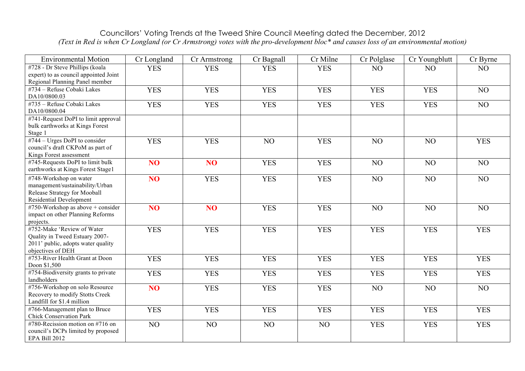## Councillors' Voting Trends at the Tweed Shire Council Meeting dated the December, 2012 *(Text in Red is when Cr Longland (or Cr Armstrong) votes with the pro-development bloc\* and causes loss of an environmental motion)*

| <b>Environmental Motion</b>                                 | Cr Longland     | Cr Armstrong    | Cr Bagnall | Cr Milne   | Cr Polglase    | Cr Youngblutt | Cr Byrne   |
|-------------------------------------------------------------|-----------------|-----------------|------------|------------|----------------|---------------|------------|
| #728 - Dr Steve Phillips (koala                             | <b>YES</b>      | <b>YES</b>      | <b>YES</b> | <b>YES</b> | NO             | NO            | NO         |
| expert) to as council appointed Joint                       |                 |                 |            |            |                |               |            |
| Regional Planning Panel member                              |                 |                 |            |            |                |               |            |
| #734 - Refuse Cobaki Lakes                                  | <b>YES</b>      | <b>YES</b>      | <b>YES</b> | <b>YES</b> | <b>YES</b>     | <b>YES</b>    | NO         |
| DA10/0800.03<br>#735 - Refuse Cobaki Lakes                  |                 |                 |            |            |                |               |            |
| DA10/0800.04                                                | <b>YES</b>      | <b>YES</b>      | <b>YES</b> | <b>YES</b> | <b>YES</b>     | <b>YES</b>    | NO         |
| #741-Request DoPI to limit approval                         |                 |                 |            |            |                |               |            |
| bulk earthworks at Kings Forest                             |                 |                 |            |            |                |               |            |
| Stage 1                                                     |                 |                 |            |            |                |               |            |
| #744 – Urges DoPI to consider                               | <b>YES</b>      | <b>YES</b>      | NO         | <b>YES</b> | NO             | NO            | <b>YES</b> |
| council's draft CKPoM as part of                            |                 |                 |            |            |                |               |            |
| Kings Forest assessment<br>#745-Requests DoPI to limit bulk |                 |                 |            |            |                |               |            |
| earthworks at Kings Forest Stage1                           | NO <sub>1</sub> | NO <sub>1</sub> | <b>YES</b> | <b>YES</b> | NO             | NO            | NO         |
| #748-Workshop on water                                      | NO <sub>1</sub> | <b>YES</b>      | <b>YES</b> | <b>YES</b> | NO             | NO            | NO         |
| management/sustainability/Urban                             |                 |                 |            |            |                |               |            |
| Release Strategy for Mooball                                |                 |                 |            |            |                |               |            |
| <b>Residential Development</b>                              |                 |                 |            |            |                |               |            |
| #750-Workshop as above $+$ consider                         | NO <sub>1</sub> | N <sub>O</sub>  | <b>YES</b> | <b>YES</b> | N <sub>O</sub> | NO            | NO         |
| impact on other Planning Reforms                            |                 |                 |            |            |                |               |            |
| projects.                                                   |                 |                 |            |            |                |               |            |
| #752-Make 'Review of Water                                  | <b>YES</b>      | <b>YES</b>      | <b>YES</b> | <b>YES</b> | <b>YES</b>     | <b>YES</b>    | <b>YES</b> |
| Quality in Tweed Estuary 2007-                              |                 |                 |            |            |                |               |            |
| 2011' public, adopts water quality<br>objectives of DEH     |                 |                 |            |            |                |               |            |
| #753-River Health Grant at Doon                             | <b>YES</b>      | <b>YES</b>      | <b>YES</b> | <b>YES</b> | <b>YES</b>     | <b>YES</b>    | <b>YES</b> |
| Doon \$1,500                                                |                 |                 |            |            |                |               |            |
| #754-Biodiversity grants to private                         | <b>YES</b>      | <b>YES</b>      | <b>YES</b> | <b>YES</b> | <b>YES</b>     | <b>YES</b>    | <b>YES</b> |
| landholders                                                 |                 |                 |            |            |                |               |            |
| #756-Workshop on solo Resource                              | NO <sub>1</sub> | <b>YES</b>      | <b>YES</b> | <b>YES</b> | NO             | NO            | NO         |
| Recovery to modify Stotts Creek                             |                 |                 |            |            |                |               |            |
| Landfill for \$1.4 million                                  |                 |                 |            |            |                |               |            |
| #766-Management plan to Bruce                               | <b>YES</b>      | <b>YES</b>      | <b>YES</b> | <b>YES</b> | <b>YES</b>     | <b>YES</b>    | <b>YES</b> |
| <b>Chick Conservation Park</b>                              |                 |                 |            |            |                |               |            |
| #780-Recission motion on #716 on                            | NO              | NO              | NO         | NO         | <b>YES</b>     | <b>YES</b>    | <b>YES</b> |
| council's DCPs limited by proposed                          |                 |                 |            |            |                |               |            |
| EPA Bill 2012                                               |                 |                 |            |            |                |               |            |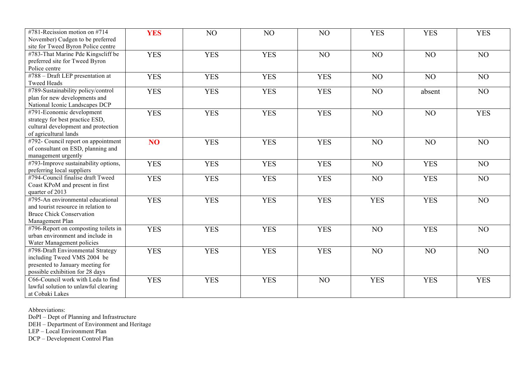| #781-Recission motion on #714<br>November) Cudgen to be preferred<br>site for Tweed Byron Police centre                                 | <b>YES</b>      | NO         | NO         | NO         | <b>YES</b> | <b>YES</b> | <b>YES</b> |
|-----------------------------------------------------------------------------------------------------------------------------------------|-----------------|------------|------------|------------|------------|------------|------------|
| #783-That Marine Pde Kingscliff be<br>preferred site for Tweed Byron<br>Police centre                                                   | <b>YES</b>      | <b>YES</b> | <b>YES</b> | NO         | NO         | NO         | NO         |
| #788 - Draft LEP presentation at<br><b>Tweed Heads</b>                                                                                  | <b>YES</b>      | <b>YES</b> | <b>YES</b> | <b>YES</b> | NO         | NO         | NO         |
| #789-Sustainability policy/control<br>plan for new developments and<br>National Iconic Landscapes DCP                                   | <b>YES</b>      | <b>YES</b> | <b>YES</b> | <b>YES</b> | NO         | absent     | NO         |
| #791-Economic development<br>strategy for best practice ESD,<br>cultural development and protection<br>of agricultural lands            | <b>YES</b>      | <b>YES</b> | <b>YES</b> | <b>YES</b> | NO         | NO         | <b>YES</b> |
| #792- Council report on appointment<br>of consultant on ESD, planning and<br>management urgently                                        | NO <sub>1</sub> | <b>YES</b> | <b>YES</b> | <b>YES</b> | NO         | NO         | NO         |
| #793-Improve sustainability options,<br>preferring local suppliers                                                                      | <b>YES</b>      | <b>YES</b> | <b>YES</b> | <b>YES</b> | NO         | <b>YES</b> | NO         |
| #794-Council finalise draft Tweed<br>Coast KPoM and present in first<br>quarter of 2013                                                 | <b>YES</b>      | <b>YES</b> | <b>YES</b> | <b>YES</b> | NO         | <b>YES</b> | NO         |
| #795-An environmental educational<br>and tourist resource in relation to<br><b>Bruce Chick Conservation</b><br>Management Plan          | <b>YES</b>      | <b>YES</b> | <b>YES</b> | <b>YES</b> | <b>YES</b> | <b>YES</b> | NO         |
| #796-Report on composting toilets in<br>urban environment and include in<br>Water Management policies                                   | <b>YES</b>      | <b>YES</b> | <b>YES</b> | <b>YES</b> | NO         | <b>YES</b> | NO         |
| #798-Draft Environmental Strategy<br>including Tweed VMS 2004 be<br>presented to January meeting for<br>possible exhibition for 28 days | <b>YES</b>      | <b>YES</b> | <b>YES</b> | <b>YES</b> | NO         | NO         | NO         |
| C66-Council work with Leda to find<br>lawful solution to unlawful clearing<br>at Cobaki Lakes                                           | <b>YES</b>      | <b>YES</b> | <b>YES</b> | NO         | <b>YES</b> | <b>YES</b> | <b>YES</b> |

Abbreviations:

DoPI – Dept of Planning and Infrastructure

DEH – Department of Environment and Heritage

LEP – Local Environment Plan

DCP – Development Control Plan